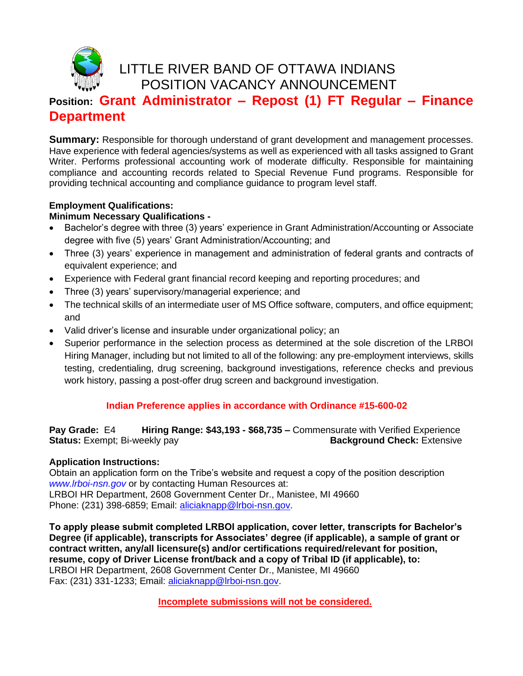

## LITTLE RIVER BAND OF OTTAWA INDIANS POSITION VACANCY ANNOUNCEMENT

# **Position: Grant Administrator – Repost (1) FT Regular – Finance Department**

**Summary:** Responsible for thorough understand of grant development and management processes. Have experience with federal agencies/systems as well as experienced with all tasks assigned to Grant Writer. Performs professional accounting work of moderate difficulty. Responsible for maintaining compliance and accounting records related to Special Revenue Fund programs. Responsible for providing technical accounting and compliance guidance to program level staff.

## **Employment Qualifications:**

## **Minimum Necessary Qualifications -**

- Bachelor's degree with three (3) years' experience in Grant Administration/Accounting or Associate degree with five (5) years' Grant Administration/Accounting; and
- Three (3) years' experience in management and administration of federal grants and contracts of equivalent experience; and
- Experience with Federal grant financial record keeping and reporting procedures; and
- Three (3) years' supervisory/managerial experience; and
- The technical skills of an intermediate user of MS Office software, computers, and office equipment; and
- Valid driver's license and insurable under organizational policy; an
- Superior performance in the selection process as determined at the sole discretion of the LRBOI Hiring Manager, including but not limited to all of the following: any pre-employment interviews, skills testing, credentialing, drug screening, background investigations, reference checks and previous work history, passing a post-offer drug screen and background investigation.

#### **Indian Preference applies in accordance with Ordinance #15-600-02**

**Pay Grade:** E4 **Hiring Range: \$43,193 - \$68,735 –** Commensurate with Verified Experience **Status:** Exempt; Bi-weekly pay **Background Check:** Extensive

#### **Application Instructions:**

Obtain an application form on the Tribe's website and request a copy of the position description *www.lrboi-nsn.gov* or by contacting Human Resources at: LRBOI HR Department, 2608 Government Center Dr., Manistee, MI 49660 Phone: (231) 398-6859; Email: [aliciaknapp@lrboi-nsn.gov.](mailto:aliciaknapp@lrboi-nsn.gov)

**To apply please submit completed LRBOI application, cover letter, transcripts for Bachelor's Degree (if applicable), transcripts for Associates' degree (if applicable), a sample of grant or contract written, any/all licensure(s) and/or certifications required/relevant for position, resume, copy of Driver License front/back and a copy of Tribal ID (if applicable), to:** LRBOI HR Department, 2608 Government Center Dr., Manistee, MI 49660 Fax: (231) 331-1233; Email: [aliciaknapp@lrboi-nsn.gov.](mailto:aliciaknapp@lrboi-nsn.gov)

 **Incomplete submissions will not be considered.**